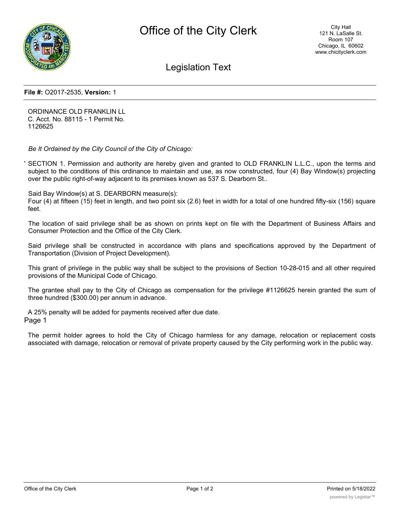

# Legislation Text

#### **File #:** O2017-2535, **Version:** 1

ORDINANCE OLD FRANKLIN LL C. Acct. No. 88115 - 1 Permit No. 1126625

*Be It Ordained by the City Council of the City of Chicago:*

' SECTION 1. Permission and authority are hereby given and granted to OLD FRANKLIN L.L.C., upon the terms and subject to the conditions of this ordinance to maintain and use, as now constructed, four (4) Bay Window(s) projecting over the public right-of-way adjacent to its premises known as 537 S. Dearborn St..

Said Bay Window(s) at S. DEARBORN measure(s):

Four (4) at fifteen (15) feet in length, and two point six (2.6) feet in width for a total of one hundred fifty-six (156) square feet.

The location of said privilege shall be as shown on prints kept on file with the Department of Business Affairs and Consumer Protection and the Office of the City Clerk.

Said privilege shall be constructed in accordance with plans and specifications approved by the Department of Transportation (Division of Project Development).

This grant of privilege in the public way shall be subject to the provisions of Section 10-28-015 and all other required provisions of the Municipal Code of Chicago.

The grantee shall pay to the City of Chicago as compensation for the privilege #1126625 herein granted the sum of three hundred (\$300.00) per annum in advance.

A 25% penalty will be added for payments received after due date. Page 1

The permit holder agrees to hold the City of Chicago harmless for any damage, relocation or replacement costs associated with damage, relocation or removal of private property caused by the City performing work in the public way.